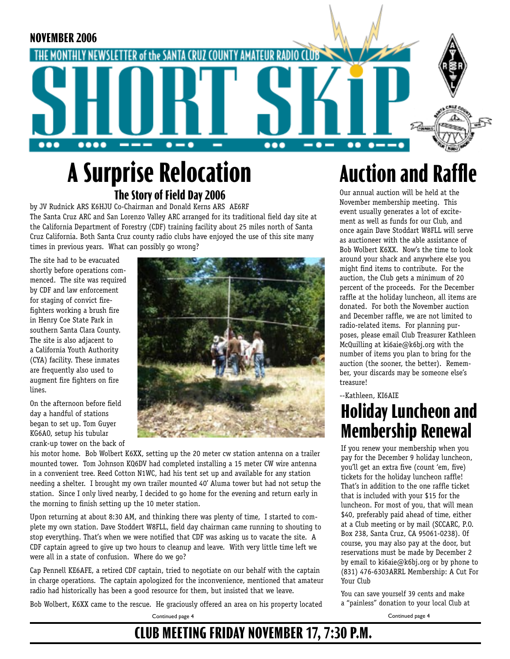

# **A Surprise Relocation The Story of Field Day 2006**

by JV Rudnick ARS K6HJU Co-Chairman and Donald Kerns ARS AE6RF The Santa Cruz ARC and San Lorenzo Valley ARC arranged for its traditional field day site at the California Department of Forestry (CDF) training facility about 25 miles north of Santa Cruz California. Both Santa Cruz county radio clubs have enjoyed the use of this site many times in previous years. What can possibly go wrong?

The site had to be evacuated shortly before operations commenced. The site was required by CDF and law enforcement for staging of convict firefighters working a brush fire in Henry Coe State Park in southern Santa Clara County. The site is also adjacent to a California Youth Authority (CYA) facility. These inmates are frequently also used to augment fire fighters on fire lines.

On the afternoon before field day a handful of stations began to set up. Tom Guyer KG6AO, setup his tubular crank-up tower on the back of



his motor home. Bob Wolbert K6XX, setting up the 20 meter cw station antenna on a trailer mounted tower. Tom Johnson KQ6DV had completed installing a 15 meter CW wire antenna in a convenient tree. Reed Cotton N1WC, had his tent set up and available for any station needing a shelter. I brought my own trailer mounted 40' Aluma tower but had not setup the station. Since I only lived nearby, I decided to go home for the evening and return early in the morning to finish setting up the 10 meter station.

Upon returning at about 8:30 AM, and thinking there was plenty of time, I started to complete my own station. Dave Stoddert W8FLL, field day chairman came running to shouting to stop everything. That's when we were notified that CDF was asking us to vacate the site. A CDF captain agreed to give up two hours to cleanup and leave. With very little time left we were all in a state of confusion. Where do we go?

Cap Pennell KE6AFE, a retired CDF captain, tried to negotiate on our behalf with the captain in charge operations. The captain apologized for the inconvenience, mentioned that amateur radio had historically has been a good resource for them, but insisted that we leave.

Bob Wolbert, K6XX came to the rescue. He graciously offered an area on his property located Continued page 4

**Auction and Raffle**

Our annual auction will be held at the November membership meeting. This event usually generates a lot of excitement as well as funds for our Club, and once again Dave Stoddart W8FLL will serve as auctioneer with the able assistance of Bob Wolbert K6XX. Now's the time to look around your shack and anywhere else you might find items to contribute. For the auction, the Club gets a minimum of 20 percent of the proceeds. For the December raffle at the holiday luncheon, all items are donated. For both the November auction and December raffle, we are not limited to radio-related items. For planning purposes, please email Club Treasurer Kathleen McQuilling at ki6aie@k6bj.org with the number of items you plan to bring for the auction (the sooner, the better). Remember, your discards may be someone else's treasure!

--Kathleen, KI6AIE

## **Holiday Luncheon and Membership Renewal**

If you renew your membership when you pay for the December 9 holiday luncheon, you'll get an extra five (count 'em, five) tickets for the holiday luncheon raffle! That's in addition to the one raffle ticket that is included with your \$15 for the luncheon. For most of you, that will mean \$40, preferably paid ahead of time, either at a Club meeting or by mail (SCCARC, P.O. Box 238, Santa Cruz, CA 95061-0238). Of course, you may also pay at the door, but reservations must be made by December 2 by email to ki6aie@k6bj.org or by phone to (831) 476-6303ARRL Membership: A Cut For Your Club

You can save yourself 39 cents and make a "painless" donation to your local Club at

Continued page 4

**CLUB MEETING FRIDAY NOVEMBER 17, 7:30 P.M.**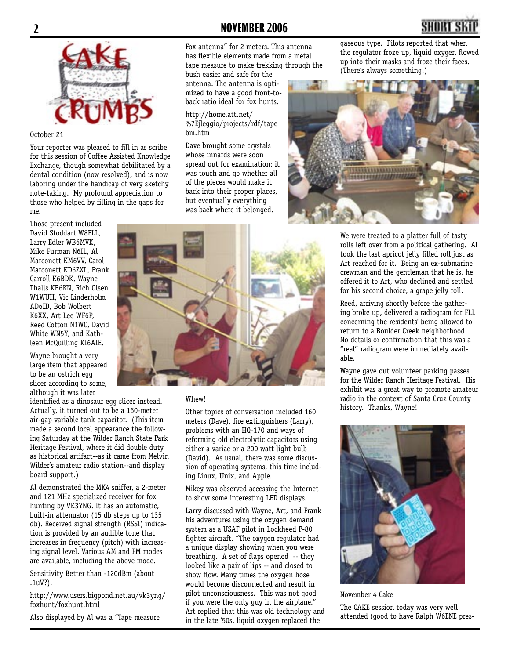

#### October 21

Your reporter was pleased to fill in as scribe for this session of Coffee Assisted Knowledge Exchange, though somewhat debilitated by a dental condition (now resolved), and is now laboring under the handicap of very sketchy note-taking. My profound appreciation to those who helped by filling in the gaps for me.

Those present included David Stoddart W8FLL, Larry Edler WB6MVK, Mike Furman N6IL, Al Marconett KM6VV, Carol Marconett KD6ZXL, Frank Carroll K6BDK, Wayne Thalls KB6KN, Rich Olsen W1WUH, Vic Linderholm AD6ID, Bob Wolbert K6XX, Art Lee WF6P, Reed Cotton N1WC, David White WN5Y, and Kathleen McQuilling KI6AIE.

Wayne brought a very large item that appeared to be an ostrich egg slicer according to some, although it was later

identified as a dinosaur egg slicer instead. Actually, it turned out to be a 160-meter air-gap variable tank capacitor. (This item made a second local appearance the following Saturday at the Wilder Ranch State Park Heritage Festival, where it did double duty as historical artifact--as it came from Melvin Wilder's amateur radio station--and display board support.)

Al demonstrated the MK4 sniffer, a 2-meter and 121 MHz specialized receiver for fox hunting by VK3YNG. It has an automatic, built-in attenuator (15 db steps up to 135 db). Received signal strength (RSSI) indication is provided by an audible tone that increases in frequency (pitch) with increasing signal level. Various AM and FM modes are available, including the above mode.

Sensitivity Better than -120dBm (about .1uV?).

http://www.users.bigpond.net.au/vk3yng/ foxhunt/foxhunt.html

Also displayed by Al was a "Tape measure

Fox antenna" for 2 meters. This antenna has flexible elements made from a metal tape measure to make trekking through the bush easier and safe for the

antenna. The antenna is optimized to have a good front-toback ratio ideal for fox hunts.

#### http://home.att.net/ %7Ejleggio/projects/rdf/tape\_ bm.htm

Dave brought some crystals whose innards were soon spread out for examination; it was touch and go whether all of the pieces would make it back into their proper places, but eventually everything was back where it belonged.



#### Whew!

Other topics of conversation included 160 meters (Dave), fire extinguishers (Larry), problems with an HQ-170 and ways of reforming old electrolytic capacitors using either a variac or a 200 watt light bulb (David). As usual, there was some discussion of operating systems, this time including Linux, Unix, and Apple.

Mikey was observed accessing the Internet to show some interesting LED displays.

Larry discussed with Wayne, Art, and Frank his adventures using the oxygen demand system as a USAF pilot in Lockheed P-80 fighter aircraft. "The oxygen regulator had a unique display showing when you were breathing. A set of flaps opened -- they looked like a pair of lips -- and closed to show flow. Many times the oxygen hose would become disconnected and result in pilot unconsciousness. This was not good if you were the only guy in the airplane." Art replied that this was old technology and in the late '50s, liquid oxygen replaced the

gaseous type. Pilots reported that when the regulator froze up, liquid oxygen flowed up into their masks and froze their faces. (There's always something!)



We were treated to a platter full of tasty rolls left over from a political gathering. Al took the last apricot jelly filled roll just as Art reached for it. Being an ex-submarine crewman and the gentleman that he is, he offered it to Art, who declined and settled for his second choice, a grape jelly roll.

Reed, arriving shortly before the gathering broke up, delivered a radiogram for FLL concerning the residents' being allowed to return to a Boulder Creek neighborhood. No details or confirmation that this was a "real" radiogram were immediately available.

Wayne gave out volunteer parking passes for the Wilder Ranch Heritage Festival. His exhibit was a great way to promote amateur radio in the context of Santa Cruz County history. Thanks, Wayne!



November 4 Cake The CAKE session today was very well attended (good to have Ralph W6ENE pres-

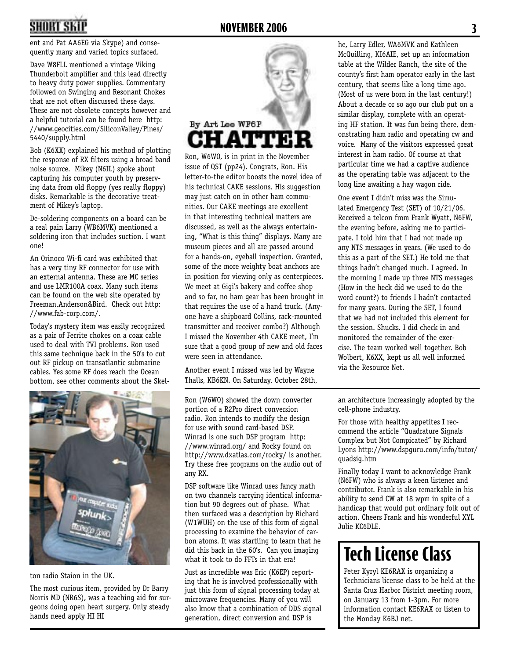# **2 NOVEMBER 2006 3**

ent and Pat AA6EG via Skype) and consequently many and varied topics surfaced.

Dave W8FLL mentioned a vintage Viking Thunderbolt amplifier and this lead directly to heavy duty power supplies. Commentary followed on Swinging and Resonant Chokes that are not often discussed these days. These are not obsolete concepts however and a helpful tutorial can be found here http: //www.geocities.com/SiliconValley/Pines/ 5440/supply.html

Bob (K6XX) explained his method of plotting the response of RX filters using a broad band noise source. Mikey (N6IL) spoke about capturing his computer youth by preserving data from old floppy (yes really floppy) disks. Remarkable is the decorative treatment of Mikey's laptop.

De-soldering components on a board can be a real pain Larry (WB6MVK) mentioned a soldering iron that includes suction. I want one!

An Orinoco Wi-fi card was exhibited that has a very tiny RF connector for use with an external antenna. These are MC series and use LMR100A coax. Many such items can be found on the web site operated by Freeman,Anderson&Bird. Check out http: //www.fab-corp.com/.

Today's mystery item was easily recognized as a pair of Ferrite chokes on a coax cable used to deal with TVI problems. Ron used this same technique back in the 50's to cut out RF pickup on transatlantic submarine cables. Yes some RF does reach the Ocean bottom, see other comments about the Skel-



ton radio Staion in the UK.

The most curious item, provided by Dr Barry Norris MD (NR6S), was a teaching aid for surgeons doing open heart surgery. Only steady hands need apply HI HI



Ron, W6WO, is in print in the November issue of QST (pp24). Congrats, Ron. His letter-to-the editor boosts the novel idea of his technical CAKE sessions. His suggestion may just catch on in other ham communities. Our CAKE meetings are excellent in that interesting technical matters are discussed, as well as the always entertaining, "What is this thing" displays. Many are museum pieces and all are passed around for a hands-on, eyeball inspection. Granted, some of the more weighty boat anchors are in position for viewing only as centerpieces. We meet at Gigi's bakery and coffee shop and so far, no ham gear has been brought in that requires the use of a hand truck. (Anyone have a shipboard Collins, rack-mounted transmitter and receiver combo?) Although I missed the November 4th CAKE meet, I'm sure that a good group of new and old faces were seen in attendance.

Another event I missed was led by Wayne Thalls, KB6KN. On Saturday, October 28th,

Ron (W6WO) showed the down converter portion of a R2Pro direct conversion radio. Ron intends to modify the design for use with sound card-based DSP. Winrad is one such DSP program http: //www.winrad.org/ and Rocky found on http://www.dxatlas.com/rocky/ is another. Try these free programs on the audio out of any RX.

DSP software like Winrad uses fancy math on two channels carrying identical information but 90 degrees out of phase. What then surfaced was a description by Richard (W1WUH) on the use of this form of signal processing to examine the behavior of carbon atoms. It was startling to learn that he did this back in the 60's. Can you imaging what it took to do FFTs in that era!

Just as incredible was Eric (K6EP) reporting that he is involved professionally with just this form of signal processing today at microwave frequencies. Many of you will also know that a combination of DDS signal generation, direct conversion and DSP is

he, Larry Edler, WA6MVK and Kathleen McQuilling, KI6AIE, set up an information table at the Wilder Ranch, the site of the county's first ham operator early in the last century, that seems like a long time ago. (Most of us were born in the last century!) About a decade or so ago our club put on a similar display, complete with an operating HF station. It was fun being there, demonstrating ham radio and operating cw and voice. Many of the visitors expressed great interest in ham radio. Of course at that particular time we had a captive audience as the operating table was adjacent to the long line awaiting a hay wagon ride.

One event I didn't miss was the Simulated Emergency Test (SET) of 10/21/06. Received a telcon from Frank Wyatt, N6FW, the evening before, asking me to participate. I told him that I had not made up any NTS messages in years. (We used to do this as a part of the SET.) He told me that things hadn't changed much. I agreed. In the morning I made up three NTS messages (How in the heck did we used to do the word count?) to friends I hadn't contacted for many years. During the SET, I found that we had not included this element for the session. Shucks. I did check in and monitored the remainder of the exercise. The team worked well together. Bob Wolbert, K6XX, kept us all well informed via the Resource Net.

an architecture increasingly adopted by the cell-phone industry.

For those with healthy appetites I recommend the article "Quadrature Signals Complex but Not Compicated" by Richard Lyons http://www.dspguru.com/info/tutor/ quadsig.htm

Finally today I want to acknowledge Frank (N6FW) who is always a keen listener and contributor. Frank is also remarkable in his ability to send CW at 18 wpm in spite of a handicap that would put ordinary folk out of action. Cheers Frank and his wonderful XYL Julie KC6DLE.

# **Tech License Class**

Peter Kyryl KE6RAX is organizing a Technicians license class to be held at the Santa Cruz Harbor District meeting room, on January 13 from 1-3pm. For more information contact KE6RAX or listen to the Monday K6BJ net.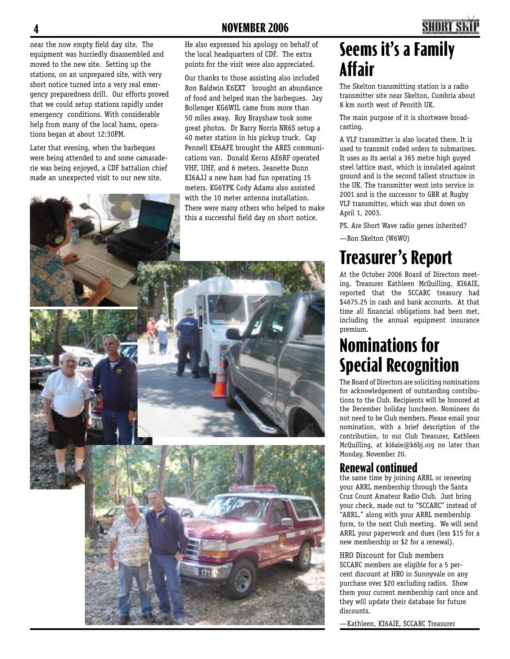near the now empty field day site. The equipment was hurriedly disassembled and moved to the new site. Setting up the stations, on an unprepared site, with very short notice turned into a very real emergency preparedness drill. Our efforts proved that we could setup stations rapidly under emergency conditions. With considerable help from many of the local hams, operations began at about 12:30PM.

Later that evening, when the barbeques were being attended to and some camaraderie was being enjoyed, a CDF battalion chief made an unexpected visit to our new site.

He also expressed his apology on behalf of the local headquarters of CDF. The extra points for the visit were also appreciated.

Our thanks to those assisting also included Ron Baldwin K6EXT brought an abundance of food and helped man the barbeques. Jay Bollenger KG6WIL came from more than 50 miles away. Roy Brayshaw took some great photos. Dr Barry Norris NR6S setup a 40 meter station in his pickup truck. Cap Pennell KE6AFE brought the ARES communications van. Donald Kerns AE6RF operated VHF, UHF, and 6 meters. Jeanette Dunn KI6AJJ a new ham had fun operating 15 meters. KG6YPK Cody Adams also assisted with the 10 meter antenna installation. There were many others who helped to make this a successful field day on short notice.

# **4 NOVEMBER 2006 5**

## **Seems it's a Family Affair**

The Skelton transmitting station is a radio transmitter site near Skelton, Cumbria about 8 km north west of Penrith UK.

The main purpose of it is shortwave broadcasting.

A VLF transmitter is also located there. It is used to transmit coded orders to submarines. It uses as its aerial a 365 metre high guyed steel lattice mast, which is insulated against ground and is the second tallest structure in the UK. The transmitter went into service in 2001 and is the successor to GBR at Rugby VLF transmitter, which was shut down on April 1, 2003.

PS. Are Short Wave radio genes inherited?

—Ron Skelton (W6WO)

# **Treasurer's Report**

At the October 2006 Board of Directors meeting, Treasurer Kathleen McQuilling, KI6AIE, reported that the SCCARC treasury had \$4675.25 in cash and bank accounts. At that time all financial obligations had been met, including the annual equipment insurance premium.

## **Nominations for Special Recognition**

The Board of Directors are soliciting nominations for acknowledgement of outstanding contributions to the Club. Recipients will be honored at the December holiday luncheon. Nominees do not need to be Club members. Please email your nomination, with a brief description of the contribution, to our Club Treasurer, Kathleen McQuilling, at ki6aie@k6bj.org no later than Monday, November 20.

#### **Renewal continued**

the same time by joining ARRL or renewing your ARRL membership through the Santa Cruz Count Amateur Radio Club. Just bring your check, made out to "SCCARC" instead of "ARRL," along with your ARRL membership form, to the next Club meeting. We will send ARRL your paperwork and dues (less \$15 for a new membership or \$2 for a renewal).

HRO Discount for Club members SCCARC members are eligible for a 5 percent discount at HRO in Sunnyvale on any purchase over \$20 excluding radios. Show them your current membership card once and they will update their database for future discounts.

—Kathleen, KI6AIE, SCCARC Treasurer

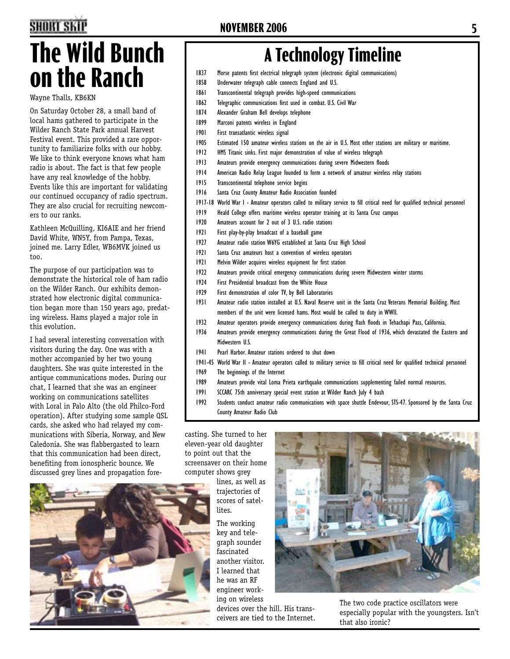# **The Wild Bunch on the Ranch**

Wayne Thalls, KB6KN

On Saturday October 28, a small band of local hams gathered to participate in the Wilder Ranch State Park annual Harvest Festival event. This provided a rare opportunity to familiarize folks with our hobby. We like to think everyone knows what ham radio is about. The fact is that few people have any real knowledge of the hobby. Events like this are important for validating our continued occupancy of radio spectrum. They are also crucial for recruiting newcomers to our ranks.

Kathleen McQuilling, KI6AIE and her friend David White, WN5Y, from Pampa, Texas, joined me. Larry Edler, WB6MVK joined us too.

The purpose of our participation was to demonstrate the historical role of ham radio on the Wilder Ranch. Our exhibits demonstrated how electronic digital communication began more than 150 years ago, predating wireless. Hams played a major role in this evolution.

I had several interesting conversation with visitors during the day. One was with a mother accompanied by her two young daughters. She was quite interested in the antique communications modes. During our chat, I learned that she was an engineer working on communications satellites with Loral in Palo Alto (the old Philco-Ford operation). After studying some sample QSL cards, she asked who had relayed my communications with Siberia, Norway, and New Caledonia. She was flabbergasted to learn that this communication had been direct, benefiting from ionospheric bounce. We discussed grey lines and propagation fore-



# **A Technology Timeline**

- 1837 Morse patents first electrical telegraph system (electronic digital communications)
- 1858 Underwater telegraph cable connects England and U.S.
- 1861 Transcontinental telegraph provides high-speed communications
- 1862 Telegraphic communications first used in combat. U.S. Civil War
- 1874 Alexander Graham Bell develops telephone
- 1899 Marconi patents wireless in England
- 1901 First transatlantic wireless signal
- 1905 Estimated 150 amateur wireless stations on the air in U.S. Most other stations are military or maritime.
- 1912 HMS Titanic sinks. First major demonstration of value of wireless telegraph
- 1913 Amateurs provide emergency communications during severe Midwestern floods
- 1914 American Radio Relay League founded to form a network of amateur wireless relay stations
- 1915 Transcontinental telephone service begins
- 1916 Santa Cruz County Amateur Radio Association founded
- 1917-18 World War I Amateur operators called to military service to fill critical need for qualified technical personnel
- 1919 Heald College offers maritime wireless operator training at its Santa Cruz campus
- 1920 Amateurs account for 2 out of 3 U.S. radio stations
- 1921 First play-by-play broadcast of a baseball game
- 1927 Amateur radio station W6YG established at Santa Cruz High School
- 1921 Santa Cruz amateurs host a convention of wireless operators
- 1921 Melvin Wilder acquires wireless equipment for first station
- 1922 Amateurs provide critical emergency communications during severe Midwestern winter storms
- 1924 First Presidential broadcast from the White House
- 1929 First demonstration of color TV, by Bell Laboratories
- 1931 Amateur radio station installed at U.S. Naval Reserve unit in the Santa Cruz Veterans Memorial Building. Most members of the unit were licensed hams. Most would be called to duty in WWII.
- 1932 Amateur operators provide emergency communications during flash floods in Tehachapi Pass, California.
- 1936 Amateurs provide emergency communications during the Great Flood of 1936, which devastated the Eastern and Midwestern U.S.
- 1941 Pearl Harbor. Amateur stations ordered to shut down
- 1941-45 World War II Amateur operators called to military service to fill critical need for qualified technical personnel
- 1969 The beginnings of the Internet
- 1989 Amateurs provide vital Loma Prieta earthquake communications supplementing failed normal resources.
- 1991 SCCARC 75th anniversary special event station at Wilder Ranch July 4 bash
- 1992 Students conduct amateur radio communications with space shuttle Endevour, STS-47. Sponsored by the Santa Cruz County Amateur Radio Club

casting. She turned to her eleven-year old daughter to point out that the screensaver on their home computer shows grey

> lines, as well as trajectories of scores of satellites.

The working key and telegraph sounder fascinated another visitor. I learned that he was an RF engineer working on wireless

devices over the hill. His transceivers are tied to the Internet.



The two code practice oscillators were especially popular with the youngsters. Isn't that also ironic?